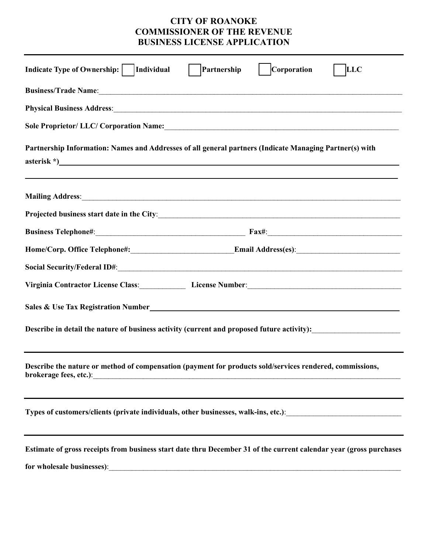# **CITY OF ROANOKE COMMISSIONER OF THE REVENUE BUSINESS LICENSE APPLICATION**

| <b>Indicate Type of Ownership:</b><br><b>Corporation</b><br>Individual<br>Partnership<br><b>LLC</b>                                                                                                                                                        |
|------------------------------------------------------------------------------------------------------------------------------------------------------------------------------------------------------------------------------------------------------------|
| Business/Trade Name: 1988. The Contract of the Superior Section 2014. The Superior Section 2014. The Contract of the Superior Section 2014. The Superior Section 2014. The Superior Section 2014. The Superior Section 2014. T                             |
| Physical Business Address: Manual Communication of the Communication of the Communication of the Communication                                                                                                                                             |
|                                                                                                                                                                                                                                                            |
| Partnership Information: Names and Addresses of all general partners (Indicate Managing Partner(s) with                                                                                                                                                    |
|                                                                                                                                                                                                                                                            |
| Projected business start date in the City:<br><u>Examples</u> 2014 12:2016 12:2016 12:2016 12:2016 12:2016 12:2016 12:2016 12:2016 12:2016 12:2016 12:2016 12:2016 12:20                                                                                   |
|                                                                                                                                                                                                                                                            |
|                                                                                                                                                                                                                                                            |
|                                                                                                                                                                                                                                                            |
| Virginia Contractor License Class: License Number: License Number: 2008. [1] Marian Maria License Number: 2008. [1] Maria License Aumber: 2008. [1] Maria License Aumber: 2008. [1] Maria License Aumber: 2008. [1] Maria Lice                             |
| Sales & Use Tax Registration Number<br><u>Leadenborne and the contract of the contract of the contract of the contract of the contract of the contract of the contract of the contract of the contract of the contract of the cont</u>                     |
|                                                                                                                                                                                                                                                            |
| Describe the nature or method of compensation (payment for products sold/services rendered, commissions,<br>brokerage fees, etc.):<br><u> 2000 - 2000 - 2000 - 2000 - 2000 - 2000 - 2000 - 2000 - 2000 - 2000 - 2000 - 2000 - 2000 - 2000 - 2000 - 200</u> |
|                                                                                                                                                                                                                                                            |
| Estimate of gross receipts from business start date thru December 31 of the current calendar year (gross purchases                                                                                                                                         |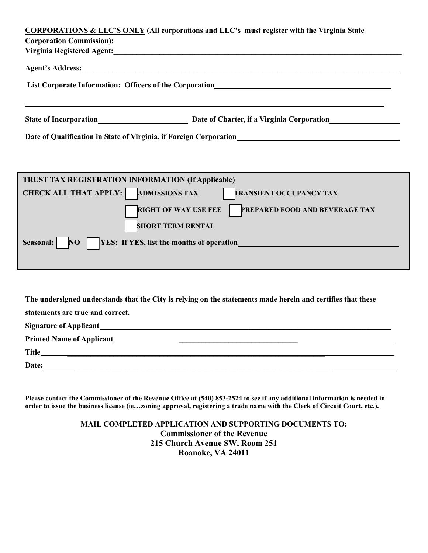|                                                                                                                                                                                                                                | <b>CORPORATIONS &amp; LLC'S ONLY (All corporations and LLC's must register with the Virginia State</b>                                                                                                                                       |  |  |  |
|--------------------------------------------------------------------------------------------------------------------------------------------------------------------------------------------------------------------------------|----------------------------------------------------------------------------------------------------------------------------------------------------------------------------------------------------------------------------------------------|--|--|--|
| <b>Corporation Commission:</b>                                                                                                                                                                                                 |                                                                                                                                                                                                                                              |  |  |  |
| Virginia Registered Agent: 1997 - 1998 - 1998 - 1998 - 1999 - 1999 - 1999 - 1999 - 1999 - 1999 - 1999 - 1999 - 1999 - 1999 - 1999 - 1999 - 1999 - 1999 - 1999 - 1999 - 1999 - 1999 - 1999 - 1999 - 1999 - 1999 - 1999 - 1999 - |                                                                                                                                                                                                                                              |  |  |  |
| Agent's Address: Agent's Address:                                                                                                                                                                                              |                                                                                                                                                                                                                                              |  |  |  |
| List Corporate Information: Officers of the Corporation<br>List Corporate Information: Officers of the Corporation                                                                                                             |                                                                                                                                                                                                                                              |  |  |  |
|                                                                                                                                                                                                                                |                                                                                                                                                                                                                                              |  |  |  |
|                                                                                                                                                                                                                                |                                                                                                                                                                                                                                              |  |  |  |
|                                                                                                                                                                                                                                |                                                                                                                                                                                                                                              |  |  |  |
|                                                                                                                                                                                                                                |                                                                                                                                                                                                                                              |  |  |  |
|                                                                                                                                                                                                                                | Date of Qualification in State of Virginia, if Foreign Corporation<br><u>Date of Qualification</u> in State of Virginia, if Foreign Corporation<br><u>Letter and the state of virginia</u> and the state of the state of the state of the st |  |  |  |

| <b>TRUST TAX REGISTRATION INFORMATION (If Applicable)</b>                               |  |  |
|-----------------------------------------------------------------------------------------|--|--|
| <b>CHECK ALL THAT APPLY:</b><br><b>ADMISSIONS TAX</b><br><b>TRANSIENT OCCUPANCY TAX</b> |  |  |
| <b>RIGHT OF WAY USE FEE</b><br>PREPARED FOOD AND BEVERAGE TAX                           |  |  |
| <b>SHORT TERM RENTAL</b>                                                                |  |  |
| <b>YES</b> ; If YES, list the months of operation<br><b>NO</b><br>Seasonal:             |  |  |
|                                                                                         |  |  |

**The undersigned understands that the City is relying on the statements made herein and certifies that these** 

**statements are true and correct.**

| <b>Signature of Applicant</b>    |
|----------------------------------|
| <b>Printed Name of Applicant</b> |
| <b>Title</b>                     |
| Date:                            |
|                                  |

**Please contact the Commissioner of the Revenue Office at (540) 853-2524 to see if any additional information is needed in order to issue the business license (ie…zoning approval, registering a trade name with the Clerk of Circuit Court, etc.).** 

> **MAIL COMPLETED APPLICATION AND SUPPORTING DOCUMENTS TO: Commissioner of the Revenue 215 Church Avenue SW, Room 251 Roanoke, VA 24011**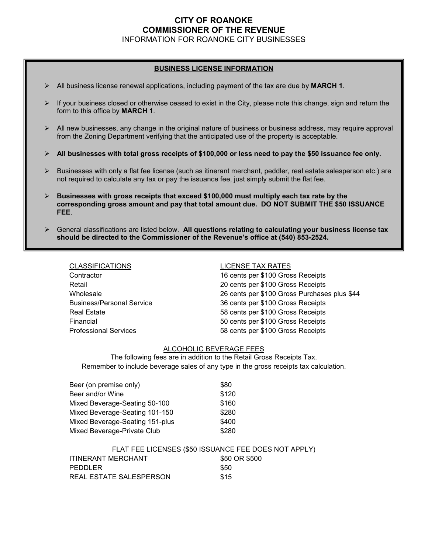# **CITY OF ROANOKE COMMISSIONER OF THE REVENUE**

INFORMATION FOR ROANOKE CITY BUSINESSES

## **BUSINESS LICENSE INFORMATION**

- $\triangleright$  All business license renewal applications, including payment of the tax are due by **MARCH 1**.
- $\triangleright$  If your business closed or otherwise ceased to exist in the City, please note this change, sign and return the form to this office by **MARCH 1**.
- $\triangleright$  All new businesses, any change in the original nature of business or business address, may require approval from the Zoning Department verifying that the anticipated use of the property is acceptable.
- **All businesses with total gross receipts of \$100,000 or less need to pay the \$50 issuance fee only.**
- $\triangleright$  Businesses with only a flat fee license (such as itinerant merchant, peddler, real estate salesperson etc.) are not required to calculate any tax or pay the issuance fee, just simply submit the flat fee.
- **Businesses with gross receipts that exceed \$100,000 must multiply each tax rate by the corresponding gross amount and pay that total amount due. DO NOT SUBMIT THE \$50 ISSUANCE FEE**.
- General classifications are listed below. **All questions relating to calculating your business license tax should be directed to the Commissioner of the Revenue's office at (540) 853-2524.**

| <b>CLASSIFICATIONS</b>           | <b>LICENSE TAX RATES</b>                     |
|----------------------------------|----------------------------------------------|
| Contractor                       | 16 cents per \$100 Gross Receipts            |
| Retail                           | 20 cents per \$100 Gross Receipts            |
| Wholesale                        | 26 cents per \$100 Gross Purchases plus \$44 |
| <b>Business/Personal Service</b> | 36 cents per \$100 Gross Receipts            |
| <b>Real Estate</b>               | 58 cents per \$100 Gross Receipts            |
| Financial                        | 50 cents per \$100 Gross Receipts            |
| <b>Professional Services</b>     | 58 cents per \$100 Gross Receipts            |

### ALCOHOLIC BEVERAGE FEES

The following fees are in addition to the Retail Gross Receipts Tax. Remember to include beverage sales of any type in the gross receipts tax calculation.

| Beer (on premise only)          | \$80  |
|---------------------------------|-------|
| Beer and/or Wine                | \$120 |
| Mixed Beverage-Seating 50-100   | \$160 |
| Mixed Beverage-Seating 101-150  | \$280 |
| Mixed Beverage-Seating 151-plus | \$400 |
| Mixed Beverage-Private Club     | \$280 |

### FLAT FEE LICENSES (\$50 ISSUANCE FEE DOES NOT APPLY)

| ITINERANT MERCHANT      | \$50 OR \$500 |
|-------------------------|---------------|
| PEDDLER                 | \$50          |
| REAL ESTATE SALESPERSON | \$15          |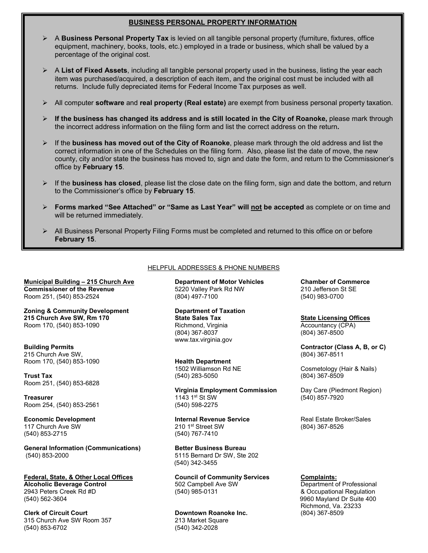# **BUSINESS PERSONAL PROPERTY INFORMATION**

- A **Business Personal Property Tax** is levied on all tangible personal property (furniture, fixtures, office equipment, machinery, books, tools, etc.) employed in a trade or business, which shall be valued by a percentage of the original cost.
- A **List of Fixed Assets**, including all tangible personal property used in the business, listing the year each item was purchased/acquired, a description of each item, and the original cost must be included with all returns. Include fully depreciated items for Federal Income Tax purposes as well.
- All computer **software** and **real property (Real estate)** are exempt from business personal property taxation.
- $\triangleright$  If the business has changed its address and is still located in the City of Roanoke, please mark through the incorrect address information on the filing form and list the correct address on the return**.**
- If the **business has moved out of the City of Roanoke**, please mark through the old address and list the correct information in one of the Schedules on the filing form. Also, please list the date of move, the new county, city and/or state the business has moved to, sign and date the form, and return to the Commissioner's office by **February 15**.
- $\triangleright$  If the **business has closed**, please list the close date on the filing form, sign and date the bottom, and return to the Commissioner's office by **February 15**.
- **Forms marked "See Attached" or "Same as Last Year" will not be accepted** as complete or on time and will be returned immediately.
- $\triangleright$  All Business Personal Property Filing Forms must be completed and returned to this office on or before **February 15**.

**Municipal Building – 215 Church Ave Department of Motor Vehicles Chamber of Commerce Commissioner of the Revenue 6220 Valley Park Rd NW** 210 Jefferson St SE Room 251, (540) 853-2524 (804) 497-7100 (804) 697-7100 (540) 983-0700

**Zoning & Community Development Department of Taxation 215 Church Ave SW, Rm 170 State Sales Tax State Licensing Offices** Room 170, (540) 853-1090 **Richmond, Virginia** Richmond, Virginia Accountancy (CPA)

215 Church Ave SW,<br>Room 170, (540) 853-1090 **Contain and Street Health Department** 

**Trust Tax** (540) 383-5050 Room 251, (540) 853-6828

Room 254, (540) 853-2561

(540) 853-2715

**General Information (Communications) Better Business Bureau** (540) 853-2000 5115 Bernard Dr SW, Ste 202

**Federal, State, & Other Local Offices Council of Community Services Complaints: Alcoholic Beverage Control 502 Campbell Ave SW** 5040 Feers Creek Rd #D<br>
2943 Peters Creek Rd #D 685-0131

**Clerk of Circuit Court Downtown Roanoke Inc.**<br>
315 Church Ave SW Room 357 **1870** 213 Market Square 315 Church Ave SW Room 357<br>(540) 853-6702

### HELPFUL ADDRESSES & PHONE NUMBERS

(804) 367-8037 (804) 367-8500 www.tax.virginia.gov

Room 170, (540) 853-1090 **Health Department**

**Virginia Employment Commission** Day Care (Piedmont Region)<br>1143 1<sup>st</sup> St SW (540) 857-7920 **Treasurer** 1143 1st St SW (540) 857-7920<br>Room 254, (540) 853-2561 (540) 598-2275

**Economic Development Internal Revenue Service** Real Estate Broker/Sales<br>117 Church Ave SW 210 1<sup>st</sup> Street SW (804) 367-8526 117 Church Ave SW 210 1st Street SW (804) 367-8526

(540) 342-3455

(540) 342-2028

**Building Permits**<br>
215 Church Ave SW, **Contractor (Class A, B, or C)**<br>
215 Church Ave SW, **Contractor (Class A, B, or C)** 

Cosmetology (Hair & Nails)<br>(804) 367-8509

 $8$  Occupational Regulation (540) 562-3604 9960 Mayland Dr Suite 400 Richmond, Va. 23233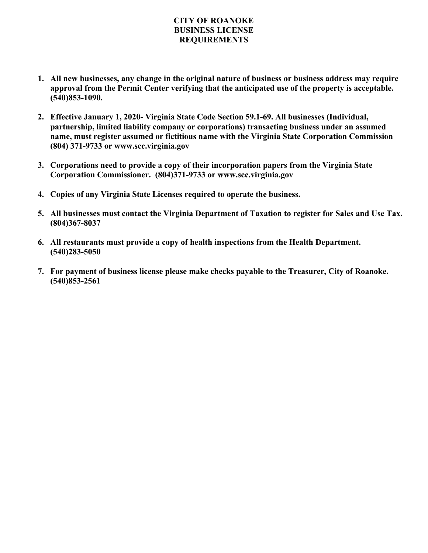# **CITY OF ROANOKE BUSINESS LICENSE REQUIREMENTS**

- **1. All new businesses, any change in the original nature of business or business address may require approval from the Permit Center verifying that the anticipated use of the property is acceptable. (540)853-1090.**
- **2. Effective January 1, 2020- Virginia State Code Section 59.1-69. All businesses (Individual, partnership, limited liability company or corporations) transacting business under an assumed name, must register assumed or fictitious name with the Virginia State Corporation Commission (804) 371-9733 or www.scc.virginia.gov**
- **3. Corporations need to provide a copy of their incorporation papers from the Virginia State Corporation Commissioner. (804)371-9733 or www.scc.virginia.gov**
- **4. Copies of any Virginia State Licenses required to operate the business.**
- **5. All businesses must contact the Virginia Department of Taxation to register for Sales and Use Tax. (804)367-8037**
- **6. All restaurants must provide a copy of health inspections from the Health Department. (540)283-5050**
- **7. For payment of business license please make checks payable to the Treasurer, City of Roanoke. (540)853-2561**